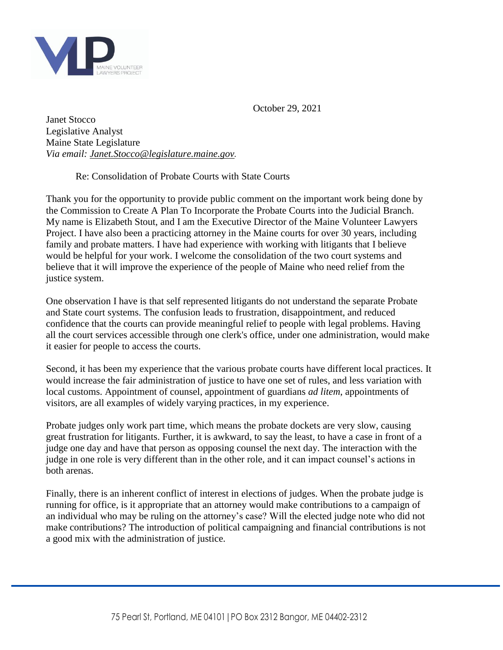

October 29, 2021

Janet Stocco Legislative Analyst Maine State Legislature *Via email: [Janet.Stocco@legislature.maine.gov](mailto:Janet.Stocco@legislature.maine.gov).*

Re: Consolidation of Probate Courts with State Courts

Thank you for the opportunity to provide public comment on the important work being done by the Commission to Create A Plan To Incorporate the Probate Courts into the Judicial Branch. My name is Elizabeth Stout, and I am the Executive Director of the Maine Volunteer Lawyers Project. I have also been a practicing attorney in the Maine courts for over 30 years, including family and probate matters. I have had experience with working with litigants that I believe would be helpful for your work. I welcome the consolidation of the two court systems and believe that it will improve the experience of the people of Maine who need relief from the justice system.

One observation I have is that self represented litigants do not understand the separate Probate and State court systems. The confusion leads to frustration, disappointment, and reduced confidence that the courts can provide meaningful relief to people with legal problems. Having all the court services accessible through one clerk's office, under one administration, would make it easier for people to access the courts.

Second, it has been my experience that the various probate courts have different local practices. It would increase the fair administration of justice to have one set of rules, and less variation with local customs. Appointment of counsel, appointment of guardians *ad litem*, appointments of visitors, are all examples of widely varying practices, in my experience.

Probate judges only work part time, which means the probate dockets are very slow, causing great frustration for litigants. Further, it is awkward, to say the least, to have a case in front of a judge one day and have that person as opposing counsel the next day. The interaction with the judge in one role is very different than in the other role, and it can impact counsel's actions in both arenas.

Finally, there is an inherent conflict of interest in elections of judges. When the probate judge is running for office, is it appropriate that an attorney would make contributions to a campaign of an individual who may be ruling on the attorney's case? Will the elected judge note who did not make contributions? The introduction of political campaigning and financial contributions is not a good mix with the administration of justice.